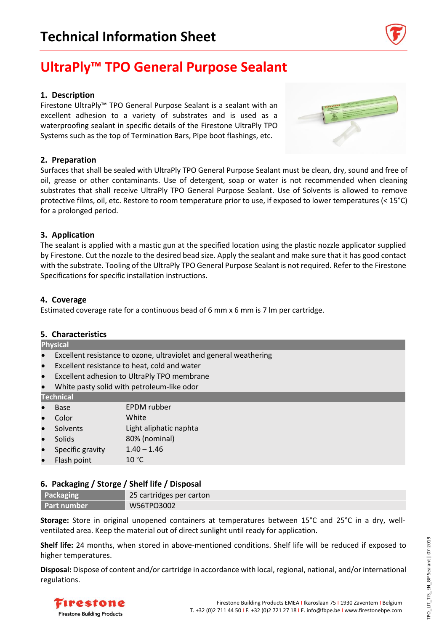# **UltraPly™ TPO General Purpose Sealant**

## **1. Description**

Firestone UltraPly™ TPO General Purpose Sealant is a sealant with an excellent adhesion to a variety of substrates and is used as a waterproofing sealant in specific details of the Firestone UltraPly TPO Systems such as the top of Termination Bars, Pipe boot flashings, etc.

## **2. Preparation**

Surfaces that shall be sealed with UltraPly TPO General Purpose Sealant must be clean, dry, sound and free of oil, grease or other contaminants. Use of detergent, soap or water is not recommended when cleaning substrates that shall receive UltraPly TPO General Purpose Sealant. Use of Solvents is allowed to remove protective films, oil, etc. Restore to room temperature prior to use, if exposed to lower temperatures (< 15°C) for a prolonged period.

## **3. Application**

The sealant is applied with a mastic gun at the specified location using the plastic nozzle applicator supplied by Firestone. Cut the nozzle to the desired bead size. Apply the sealant and make sure that it has good contact with the substrate. Tooling of the UltraPly TPO General Purpose Sealant is not required. Refer to the Firestone Specifications for specific installation instructions.

### **4. Coverage**

Estimated coverage rate for a continuous bead of 6 mm x 6 mm is 7 lm per cartridge.

#### **5. Characteristics**

## **Physical**

- Excellent resistance to ozone, ultraviolet and general weathering
- Excellent resistance to heat, cold and water
- Excellent adhesion to UltraPly TPO membrane
- White pasty solid with petroleum-like odor

#### **Technical**

| $\bullet$ | Base            | EPDM rubber            |
|-----------|-----------------|------------------------|
|           | $\bullet$ Color | White                  |
|           | • Solvents      | Light aliphatic naphta |
| $\bullet$ | Solids          | 80% (nominal)          |
|           | Conacifia xmin! | 1 10 1 16              |

Specific gravity  $1.40 - 1.46$ Flash point 10 °C

## **6. Packaging / Storge / Shelf life / Disposal**

| Packaging     | 25 cartridges per carton |
|---------------|--------------------------|
| l Part number | W56TPO3002               |

**Storage:** Store in original unopened containers at temperatures between 15°C and 25°C in a dry, wellventilated area. Keep the material out of direct sunlight until ready for application.

**Shelf life:** 24 months, when stored in above-mentioned conditions. Shelf life will be reduced if exposed to higher temperatures.

**Disposal:** Dispose of content and/or cartridge in accordance with local, regional, national, and/or international regulations.